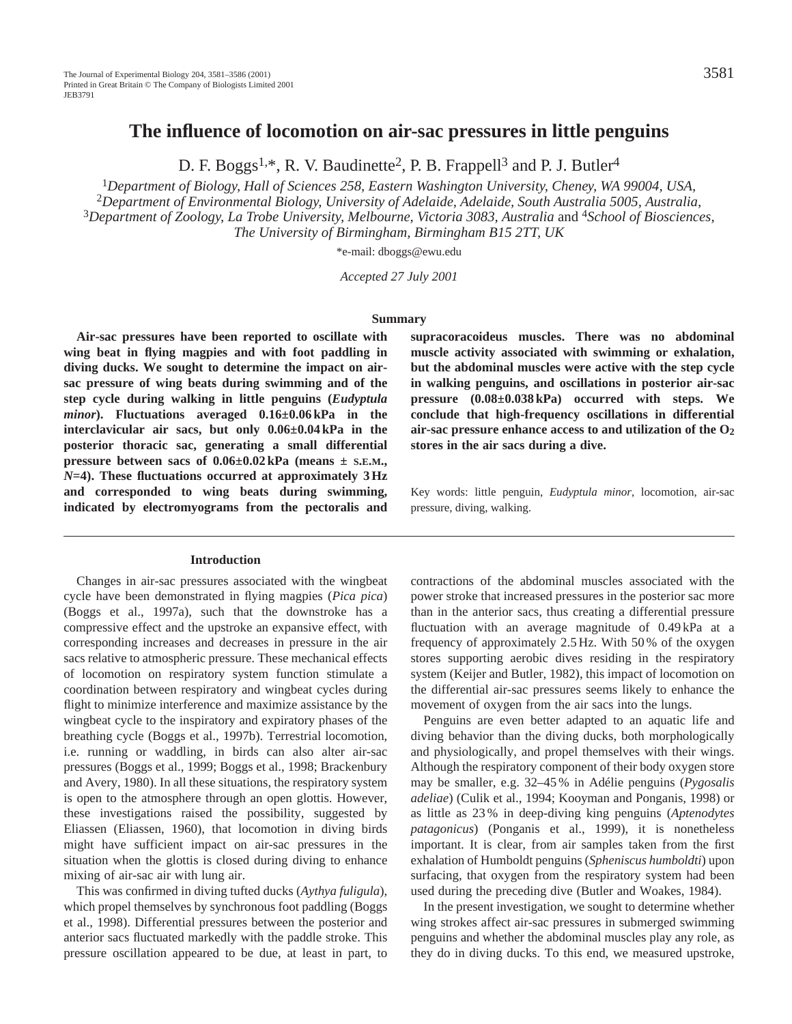# **The influence of locomotion on air-sac pressures in little penguins**

D. F. Boggs<sup>1,\*</sup>, R. V. Baudinette<sup>2</sup>, P. B. Frappel<sup>13</sup> and P. J. Butler<sup>4</sup>

<sup>1</sup>*Department of Biology, Hall of Sciences 258, Eastern Washington University, Cheney, WA 99004, USA,* <sup>2</sup>*Department of Environmental Biology, University of Adelaide, Adelaide, South Australia 5005, Australia,* <sup>3</sup>*Department of Zoology, La Trobe University, Melbourne, Victoria 3083, Australia* and 4*School of Biosciences,*

*The University of Birmingham, Birmingham B15 2TT, UK*

\*e-mail: dboggs@ewu.edu

*Accepted 27 July 2001*

### **Summary**

**Air-sac pressures have been reported to oscillate with wing beat in flying magpies and with foot paddling in diving ducks. We sought to determine the impact on airsac pressure of wing beats during swimming and of the step cycle during walking in little penguins (***Eudyptula minor***). Fluctuations averaged 0.16±0.06 kPa in the interclavicular air sacs, but only 0.06±0.04 kPa in the posterior thoracic sac, generating a small differential pressure between sacs of 0.06±0.02 kPa (means ± S.E.M.,** *N***=4). These fluctuations occurred at approximately 3 Hz and corresponded to wing beats during swimming, indicated by electromyograms from the pectoralis and**

### **Introduction**

Changes in air-sac pressures associated with the wingbeat cycle have been demonstrated in flying magpies (*Pica pica*) (Boggs et al., 1997a), such that the downstroke has a compressive effect and the upstroke an expansive effect, with corresponding increases and decreases in pressure in the air sacs relative to atmospheric pressure. These mechanical effects of locomotion on respiratory system function stimulate a coordination between respiratory and wingbeat cycles during flight to minimize interference and maximize assistance by the wingbeat cycle to the inspiratory and expiratory phases of the breathing cycle (Boggs et al., 1997b). Terrestrial locomotion, i.e. running or waddling, in birds can also alter air-sac pressures (Boggs et al., 1999; Boggs et al., 1998; Brackenbury and Avery, 1980). In all these situations, the respiratory system is open to the atmosphere through an open glottis. However, these investigations raised the possibility, suggested by Eliassen (Eliassen, 1960), that locomotion in diving birds might have sufficient impact on air-sac pressures in the situation when the glottis is closed during diving to enhance mixing of air-sac air with lung air.

This was confirmed in diving tufted ducks (*Aythya fuligula*), which propel themselves by synchronous foot paddling (Boggs et al., 1998). Differential pressures between the posterior and anterior sacs fluctuated markedly with the paddle stroke. This pressure oscillation appeared to be due, at least in part, to

**supracoracoideus muscles. There was no abdominal muscle activity associated with swimming or exhalation, but the abdominal muscles were active with the step cycle in walking penguins, and oscillations in posterior air-sac pressure (0.08±0.038 kPa) occurred with steps. We conclude that high-frequency oscillations in differential air-sac pressure enhance access to and utilization of the O2 stores in the air sacs during a dive.**

Key words: little penguin, *Eudyptula minor*, locomotion, air-sac pressure, diving, walking.

contractions of the abdominal muscles associated with the power stroke that increased pressures in the posterior sac more than in the anterior sacs, thus creating a differential pressure fluctuation with an average magnitude of 0.49 kPa at a frequency of approximately 2.5 Hz. With 50 % of the oxygen stores supporting aerobic dives residing in the respiratory system (Keijer and Butler, 1982), this impact of locomotion on the differential air-sac pressures seems likely to enhance the movement of oxygen from the air sacs into the lungs.

Penguins are even better adapted to an aquatic life and diving behavior than the diving ducks, both morphologically and physiologically, and propel themselves with their wings. Although the respiratory component of their body oxygen store may be smaller, e.g. 32–45 % in Adélie penguins (*Pygosalis adeliae*) (Culik et al., 1994; Kooyman and Ponganis, 1998) or as little as 23 % in deep-diving king penguins (*Aptenodytes patagonicus*) (Ponganis et al., 1999), it is nonetheless important. It is clear, from air samples taken from the first exhalation of Humboldt penguins (*Spheniscus humboldti*) upon surfacing, that oxygen from the respiratory system had been used during the preceding dive (Butler and Woakes, 1984).

In the present investigation, we sought to determine whether wing strokes affect air-sac pressures in submerged swimming penguins and whether the abdominal muscles play any role, as they do in diving ducks. To this end, we measured upstroke,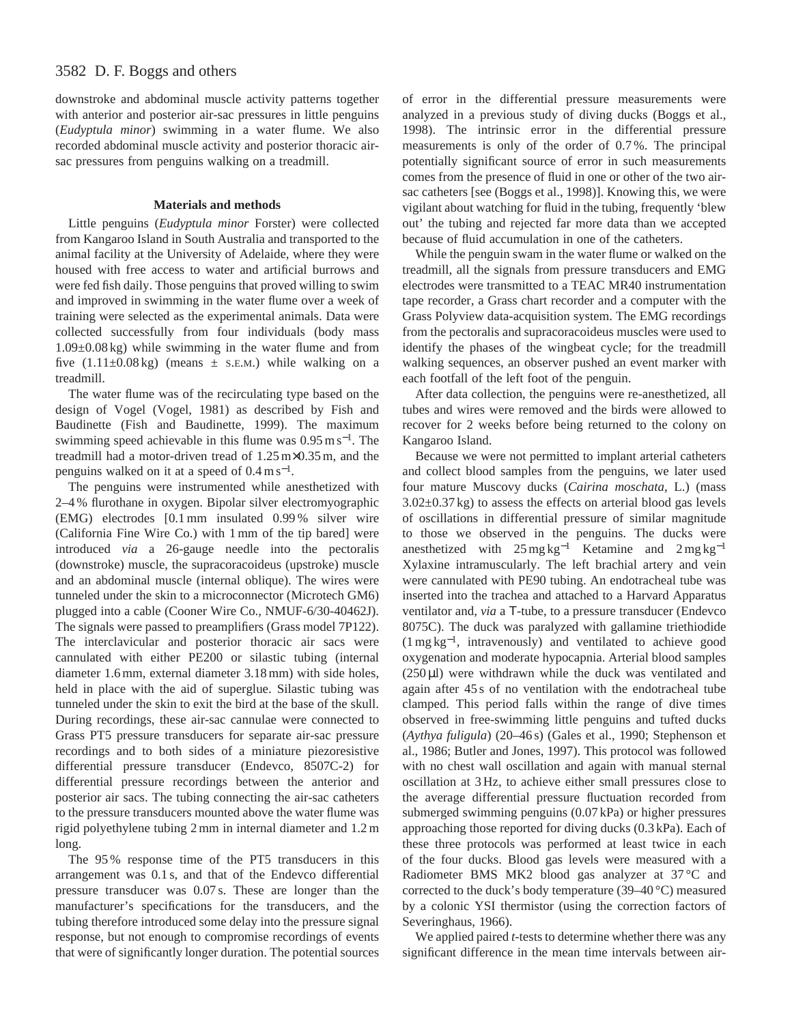# 3582 D. F. Boggs and others

downstroke and abdominal muscle activity patterns together with anterior and posterior air-sac pressures in little penguins (*Eudyptula minor*) swimming in a water flume. We also recorded abdominal muscle activity and posterior thoracic airsac pressures from penguins walking on a treadmill.

### **Materials and methods**

Little penguins (*Eudyptula minor* Forster) were collected from Kangaroo Island in South Australia and transported to the animal facility at the University of Adelaide, where they were housed with free access to water and artificial burrows and were fed fish daily. Those penguins that proved willing to swim and improved in swimming in the water flume over a week of training were selected as the experimental animals. Data were collected successfully from four individuals (body mass 1.09±0.08 kg) while swimming in the water flume and from five  $(1.11\pm0.08 \text{ kg})$  (means  $\pm$  s.e.m.) while walking on a treadmill.

The water flume was of the recirculating type based on the design of Vogel (Vogel, 1981) as described by Fish and Baudinette (Fish and Baudinette, 1999). The maximum swimming speed achievable in this flume was 0.95 m s<sup>-1</sup>. The treadmill had a motor-driven tread of 1.25 m×0.35 m, and the penguins walked on it at a speed of  $0.4 \text{ m s}^{-1}$ .

The penguins were instrumented while anesthetized with 2–4 % flurothane in oxygen. Bipolar silver electromyographic (EMG) electrodes [0.1 mm insulated 0.99 % silver wire (California Fine Wire Co.) with 1 mm of the tip bared] were introduced *via* a 26-gauge needle into the pectoralis (downstroke) muscle, the supracoracoideus (upstroke) muscle and an abdominal muscle (internal oblique). The wires were tunneled under the skin to a microconnector (Microtech GM6) plugged into a cable (Cooner Wire Co., NMUF-6/30-40462J). The signals were passed to preamplifiers (Grass model 7P122). The interclavicular and posterior thoracic air sacs were cannulated with either PE200 or silastic tubing (internal diameter 1.6 mm, external diameter 3.18 mm) with side holes, held in place with the aid of superglue. Silastic tubing was tunneled under the skin to exit the bird at the base of the skull. During recordings, these air-sac cannulae were connected to Grass PT5 pressure transducers for separate air-sac pressure recordings and to both sides of a miniature piezoresistive differential pressure transducer (Endevco, 8507C-2) for differential pressure recordings between the anterior and posterior air sacs. The tubing connecting the air-sac catheters to the pressure transducers mounted above the water flume was rigid polyethylene tubing 2 mm in internal diameter and 1.2 m long.

The 95 % response time of the PT5 transducers in this arrangement was 0.1 s, and that of the Endevco differential pressure transducer was 0.07 s. These are longer than the manufacturer's specifications for the transducers, and the tubing therefore introduced some delay into the pressure signal response, but not enough to compromise recordings of events that were of significantly longer duration. The potential sources

of error in the differential pressure measurements were analyzed in a previous study of diving ducks (Boggs et al., 1998). The intrinsic error in the differential pressure measurements is only of the order of 0.7 %. The principal potentially significant source of error in such measurements comes from the presence of fluid in one or other of the two airsac catheters [see (Boggs et al., 1998)]. Knowing this, we were vigilant about watching for fluid in the tubing, frequently 'blew out' the tubing and rejected far more data than we accepted because of fluid accumulation in one of the catheters.

While the penguin swam in the water flume or walked on the treadmill, all the signals from pressure transducers and EMG electrodes were transmitted to a TEAC MR40 instrumentation tape recorder, a Grass chart recorder and a computer with the Grass Polyview data-acquisition system. The EMG recordings from the pectoralis and supracoracoideus muscles were used to identify the phases of the wingbeat cycle; for the treadmill walking sequences, an observer pushed an event marker with each footfall of the left foot of the penguin.

After data collection, the penguins were re-anesthetized, all tubes and wires were removed and the birds were allowed to recover for 2 weeks before being returned to the colony on Kangaroo Island.

Because we were not permitted to implant arterial catheters and collect blood samples from the penguins, we later used four mature Muscovy ducks (*Cairina moschata*, L.) (mass 3.02±0.37 kg) to assess the effects on arterial blood gas levels of oscillations in differential pressure of similar magnitude to those we observed in the penguins. The ducks were anesthetized with  $25 \text{ mg kg}^{-1}$  Ketamine and  $2 \text{ mg kg}^{-1}$ Xylaxine intramuscularly. The left brachial artery and vein were cannulated with PE90 tubing. An endotracheal tube was inserted into the trachea and attached to a Harvard Apparatus ventilator and, *via* a T-tube, to a pressure transducer (Endevco 8075C). The duck was paralyzed with gallamine triethiodide (1 mg kg<sup>−</sup>1, intravenously) and ventilated to achieve good oxygenation and moderate hypocapnia. Arterial blood samples  $(250 \,\mu$ l) were withdrawn while the duck was ventilated and again after 45 s of no ventilation with the endotracheal tube clamped. This period falls within the range of dive times observed in free-swimming little penguins and tufted ducks (*Aythya fuligula*) (20–46 s) (Gales et al., 1990; Stephenson et al., 1986; Butler and Jones, 1997). This protocol was followed with no chest wall oscillation and again with manual sternal oscillation at 3 Hz, to achieve either small pressures close to the average differential pressure fluctuation recorded from submerged swimming penguins (0.07 kPa) or higher pressures approaching those reported for diving ducks (0.3 kPa). Each of these three protocols was performed at least twice in each of the four ducks. Blood gas levels were measured with a Radiometer BMS MK2 blood gas analyzer at 37 °C and corrected to the duck's body temperature (39–40 °C) measured by a colonic YSI thermistor (using the correction factors of Severinghaus, 1966).

We applied paired *t*-tests to determine whether there was any significant difference in the mean time intervals between air-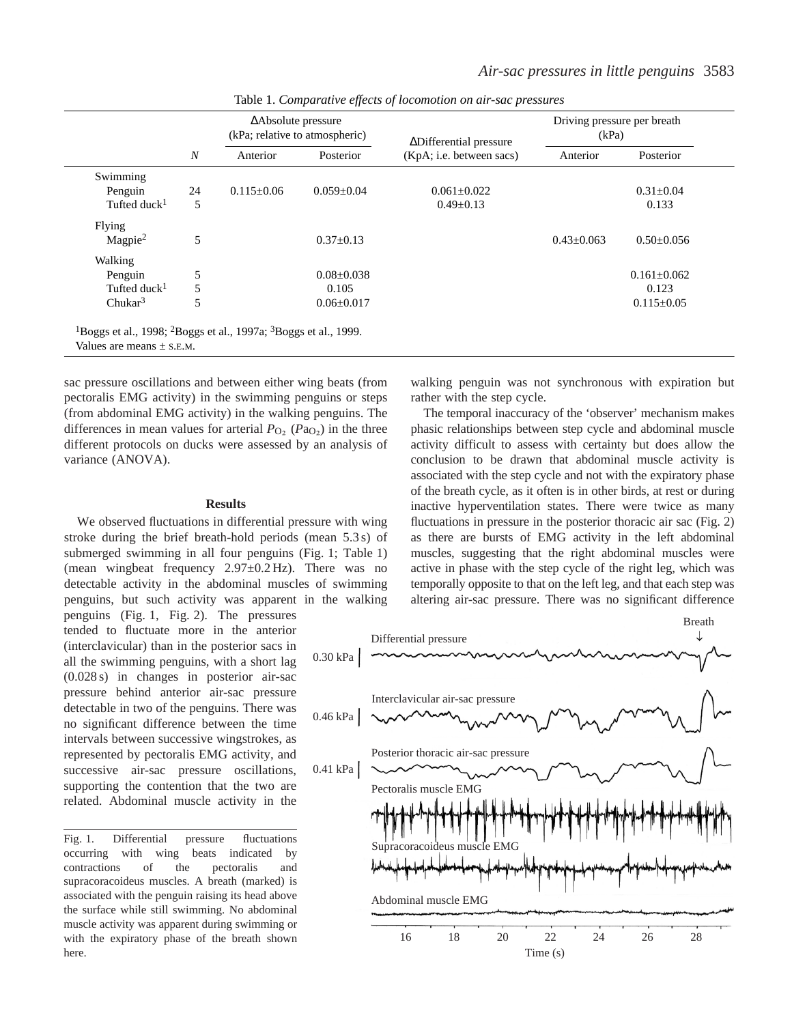|                          | $\boldsymbol{N}$ | $\Delta$ Absolute pressure<br>(kPa; relative to atmospheric) |                  | $\Delta$ Differential pressure | Driving pressure per breath.<br>(kPa) |                   |
|--------------------------|------------------|--------------------------------------------------------------|------------------|--------------------------------|---------------------------------------|-------------------|
|                          |                  | Anterior                                                     | Posterior        | (KpA; i.e. between sacs)       | Anterior                              | Posterior         |
| Swimming                 |                  |                                                              |                  |                                |                                       |                   |
| Penguin                  | 24               | $0.115 \pm 0.06$                                             | $0.059 \pm 0.04$ | $0.061 \pm 0.022$              |                                       | $0.31 \pm 0.04$   |
| Tufted duck <sup>1</sup> | 5                |                                                              |                  | $0.49 \pm 0.13$                |                                       | 0.133             |
| Flying                   |                  |                                                              |                  |                                |                                       |                   |
| $M$ agpie <sup>2</sup>   | 5                |                                                              | $0.37 \pm 0.13$  |                                | $0.43 \pm 0.063$                      | $0.50 \pm 0.056$  |
| Walking                  |                  |                                                              |                  |                                |                                       |                   |
| Penguin                  | 5                |                                                              | $0.08 \pm 0.038$ |                                |                                       | $0.161 \pm 0.062$ |
| Tufted duck <sup>1</sup> | 5                |                                                              | 0.105            |                                |                                       | 0.123             |
| Chukar <sup>3</sup>      | 5                |                                                              | $0.06 \pm 0.017$ |                                |                                       | $0.115 \pm 0.05$  |

Table 1. *Comparative effects of locomotion on air-sac pressures*

sac pressure oscillations and between either wing beats (from pectoralis EMG activity) in the swimming penguins or steps (from abdominal EMG activity) in the walking penguins. The differences in mean values for arterial  $P_{\text{O}_2}$  ( $P_{\text{aO}_2}$ ) in the three different protocols on ducks were assessed by an analysis of variance (ANOVA).

### **Results**

We observed fluctuations in differential pressure with wing stroke during the brief breath-hold periods (mean 5.3 s) of submerged swimming in all four penguins (Fig. 1; Table 1) (mean wingbeat frequency 2.97±0.2 Hz). There was no detectable activity in the abdominal muscles of swimming penguins, but such activity was apparent in the walking

penguins (Fig. 1, Fig. 2). The pressures tended to fluctuate more in the anterior (interclavicular) than in the posterior sacs in all the swimming penguins, with a short lag (0.028 s) in changes in posterior air-sac pressure behind anterior air-sac pressure detectable in two of the penguins. There was no significant difference between the time intervals between successive wingstrokes, as represented by pectoralis EMG activity, and successive air-sac pressure oscillations, supporting the contention that the two are related. Abdominal muscle activity in the

Fig. 1. Differential pressure fluctuations occurring with wing beats indicated by contractions of the pectoralis and supracoracoideus muscles. A breath (marked) is associated with the penguin raising its head above the surface while still swimming. No abdominal muscle activity was apparent during swimming or with the expiratory phase of the breath shown here.

walking penguin was not synchronous with expiration but rather with the step cycle.

The temporal inaccuracy of the 'observer' mechanism makes phasic relationships between step cycle and abdominal muscle activity difficult to assess with certainty but does allow the conclusion to be drawn that abdominal muscle activity is associated with the step cycle and not with the expiratory phase of the breath cycle, as it often is in other birds, at rest or during inactive hyperventilation states. There were twice as many fluctuations in pressure in the posterior thoracic air sac (Fig. 2) as there are bursts of EMG activity in the left abdominal muscles, suggesting that the right abdominal muscles were active in phase with the step cycle of the right leg, which was temporally opposite to that on the left leg, and that each step was altering air-sac pressure. There was no significant difference

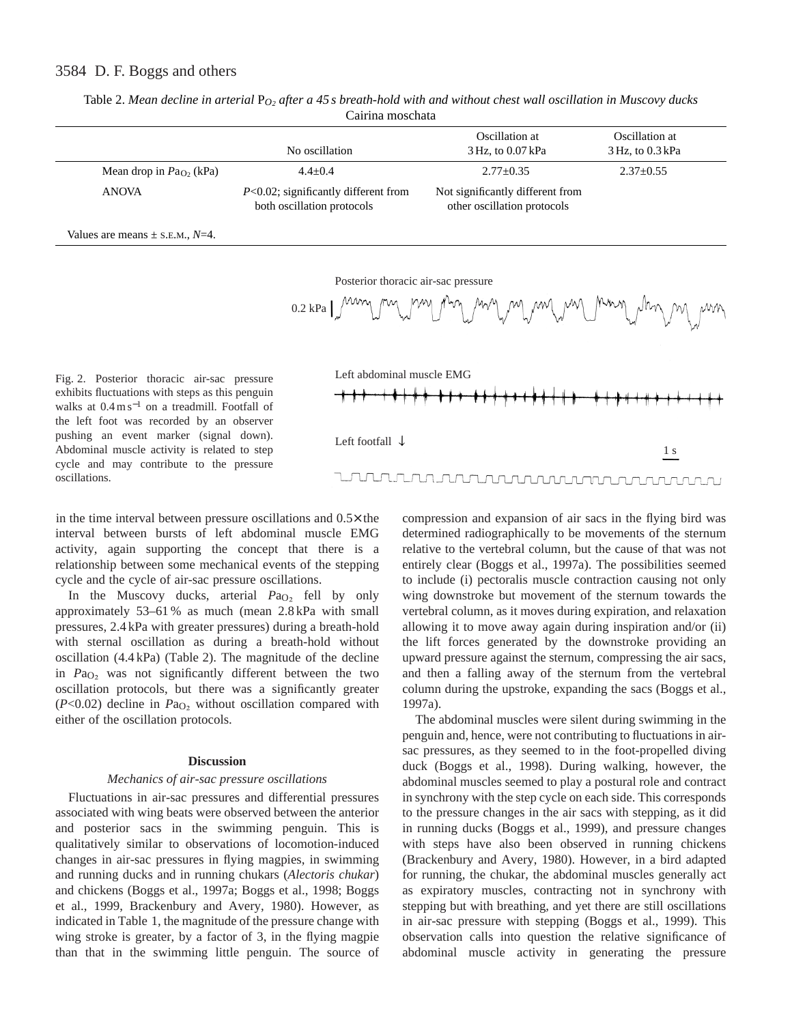# 3584 D. F. Boggs and others

|                                        | No oscillation                                                        | Oscillation at<br>3 Hz, to 0.07 kPa                             | Oscillation at<br>$3$ Hz, to $0.3$ kPa |
|----------------------------------------|-----------------------------------------------------------------------|-----------------------------------------------------------------|----------------------------------------|
| Mean drop in $PaO$ , (kPa)             | $4.4 + 0.4$                                                           | $2.77+0.35$                                                     | $2.37+0.55$                            |
| <b>ANOVA</b>                           | $P<0.02$ ; significantly different from<br>both oscillation protocols | Not significantly different from<br>other oscillation protocols |                                        |
| Values are means $\pm$ s.E.M., $N=4$ . |                                                                       |                                                                 |                                        |

Table 2. *Mean decline in arterial* P*O2 after a 45 s breath-hold with and without chest wall oscillation in Muscovy ducks* Cairina moschata

Posterior thoracic air-sac pressure



Fig. 2. Posterior thoracic air-sac pressure exhibits fluctuations with steps as this penguin walks at 0.4 m s−<sup>1</sup> on a treadmill. Footfall of the left foot was recorded by an observer pushing an event marker (signal down). Abdominal muscle activity is related to step cycle and may contribute to the pressure oscillations.

in the time interval between pressure oscillations and 0.5× the interval between bursts of left abdominal muscle EMG activity, again supporting the concept that there is a relationship between some mechanical events of the stepping cycle and the cycle of air-sac pressure oscillations.

In the Muscovy ducks, arterial *Pa*<sub>O2</sub> fell by only approximately 53–61 % as much (mean 2.8 kPa with small pressures, 2.4 kPa with greater pressures) during a breath-hold with sternal oscillation as during a breath-hold without oscillation (4.4 kPa) (Table 2). The magnitude of the decline in *Pa*<sub>O2</sub> was not significantly different between the two oscillation protocols, but there was a significantly greater  $(P<0.02)$  decline in  $Pa<sub>O<sub>2</sub></sub>$  without oscillation compared with either of the oscillation protocols.

### **Discussion**

#### *Mechanics of air-sac pressure oscillations*

Fluctuations in air-sac pressures and differential pressures associated with wing beats were observed between the anterior and posterior sacs in the swimming penguin. This is qualitatively similar to observations of locomotion-induced changes in air-sac pressures in flying magpies, in swimming and running ducks and in running chukars (*Alectoris chukar*) and chickens (Boggs et al., 1997a; Boggs et al., 1998; Boggs et al., 1999, Brackenbury and Avery, 1980). However, as indicated in Table 1, the magnitude of the pressure change with wing stroke is greater, by a factor of 3, in the flying magpie than that in the swimming little penguin. The source of compression and expansion of air sacs in the flying bird was determined radiographically to be movements of the sternum relative to the vertebral column, but the cause of that was not entirely clear (Boggs et al., 1997a). The possibilities seemed to include (i) pectoralis muscle contraction causing not only wing downstroke but movement of the sternum towards the vertebral column, as it moves during expiration, and relaxation allowing it to move away again during inspiration and/or (ii) the lift forces generated by the downstroke providing an upward pressure against the sternum, compressing the air sacs, and then a falling away of the sternum from the vertebral column during the upstroke, expanding the sacs (Boggs et al., 1997a).

The abdominal muscles were silent during swimming in the penguin and, hence, were not contributing to fluctuations in airsac pressures, as they seemed to in the foot-propelled diving duck (Boggs et al., 1998). During walking, however, the abdominal muscles seemed to play a postural role and contract in synchrony with the step cycle on each side. This corresponds to the pressure changes in the air sacs with stepping, as it did in running ducks (Boggs et al., 1999), and pressure changes with steps have also been observed in running chickens (Brackenbury and Avery, 1980). However, in a bird adapted for running, the chukar, the abdominal muscles generally act as expiratory muscles, contracting not in synchrony with stepping but with breathing, and yet there are still oscillations in air-sac pressure with stepping (Boggs et al., 1999). This observation calls into question the relative significance of abdominal muscle activity in generating the pressure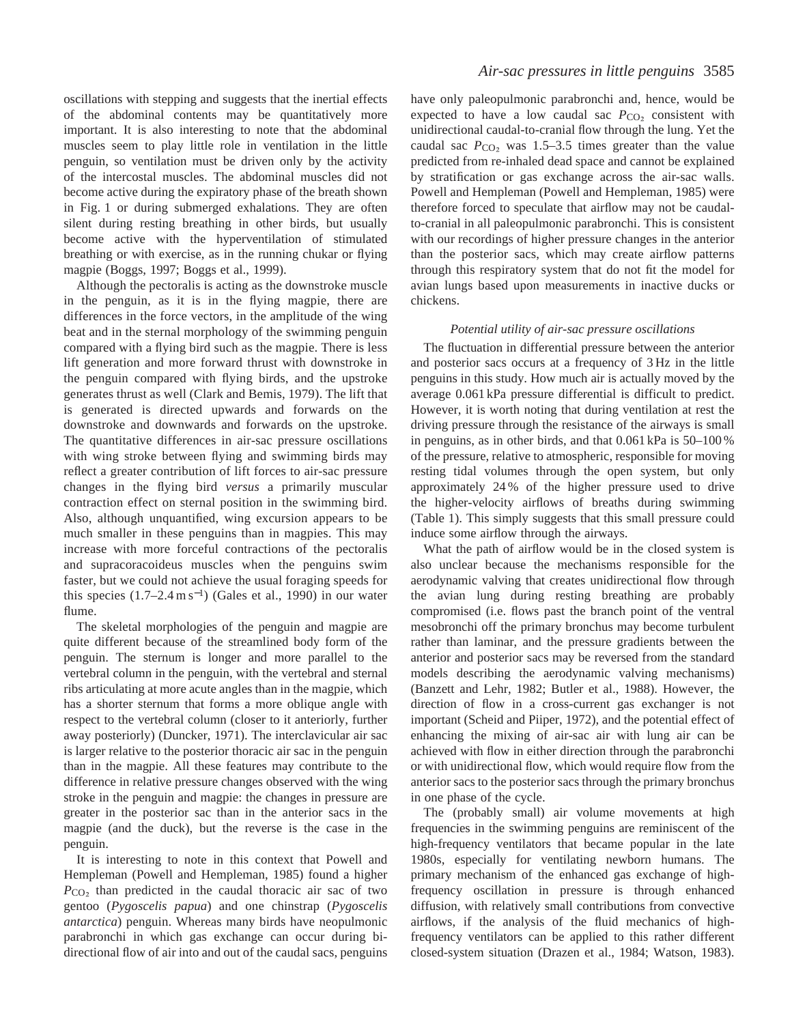oscillations with stepping and suggests that the inertial effects of the abdominal contents may be quantitatively more important. It is also interesting to note that the abdominal muscles seem to play little role in ventilation in the little penguin, so ventilation must be driven only by the activity of the intercostal muscles. The abdominal muscles did not become active during the expiratory phase of the breath shown in Fig. 1 or during submerged exhalations. They are often silent during resting breathing in other birds, but usually become active with the hyperventilation of stimulated breathing or with exercise, as in the running chukar or flying magpie (Boggs, 1997; Boggs et al., 1999).

Although the pectoralis is acting as the downstroke muscle in the penguin, as it is in the flying magpie, there are differences in the force vectors, in the amplitude of the wing beat and in the sternal morphology of the swimming penguin compared with a flying bird such as the magpie. There is less lift generation and more forward thrust with downstroke in the penguin compared with flying birds, and the upstroke generates thrust as well (Clark and Bemis, 1979). The lift that is generated is directed upwards and forwards on the downstroke and downwards and forwards on the upstroke. The quantitative differences in air-sac pressure oscillations with wing stroke between flying and swimming birds may reflect a greater contribution of lift forces to air-sac pressure changes in the flying bird *versus* a primarily muscular contraction effect on sternal position in the swimming bird. Also, although unquantified, wing excursion appears to be much smaller in these penguins than in magpies. This may increase with more forceful contractions of the pectoralis and supracoracoideus muscles when the penguins swim faster, but we could not achieve the usual foraging speeds for this species  $(1.7–2.4 \text{ m s}^{-1})$  (Gales et al., 1990) in our water flume.

The skeletal morphologies of the penguin and magpie are quite different because of the streamlined body form of the penguin. The sternum is longer and more parallel to the vertebral column in the penguin, with the vertebral and sternal ribs articulating at more acute angles than in the magpie, which has a shorter sternum that forms a more oblique angle with respect to the vertebral column (closer to it anteriorly, further away posteriorly) (Duncker, 1971). The interclavicular air sac is larger relative to the posterior thoracic air sac in the penguin than in the magpie. All these features may contribute to the difference in relative pressure changes observed with the wing stroke in the penguin and magpie: the changes in pressure are greater in the posterior sac than in the anterior sacs in the magpie (and the duck), but the reverse is the case in the penguin.

It is interesting to note in this context that Powell and Hempleman (Powell and Hempleman, 1985) found a higher  $P_{\text{CO}_2}$  than predicted in the caudal thoracic air sac of two gentoo (*Pygoscelis papua*) and one chinstrap (*Pygoscelis antarctica*) penguin. Whereas many birds have neopulmonic parabronchi in which gas exchange can occur during bidirectional flow of air into and out of the caudal sacs, penguins

have only paleopulmonic parabronchi and, hence, would be expected to have a low caudal sac  $P_{\text{CO}_2}$  consistent with unidirectional caudal-to-cranial flow through the lung. Yet the caudal sac  $P_{CO<sub>2</sub>}$  was 1.5–3.5 times greater than the value predicted from re-inhaled dead space and cannot be explained by stratification or gas exchange across the air-sac walls. Powell and Hempleman (Powell and Hempleman, 1985) were therefore forced to speculate that airflow may not be caudalto-cranial in all paleopulmonic parabronchi. This is consistent with our recordings of higher pressure changes in the anterior than the posterior sacs, which may create airflow patterns through this respiratory system that do not fit the model for avian lungs based upon measurements in inactive ducks or chickens.

### *Potential utility of air-sac pressure oscillations*

The fluctuation in differential pressure between the anterior and posterior sacs occurs at a frequency of 3 Hz in the little penguins in this study. How much air is actually moved by the average 0.061 kPa pressure differential is difficult to predict. However, it is worth noting that during ventilation at rest the driving pressure through the resistance of the airways is small in penguins, as in other birds, and that 0.061 kPa is 50–100 % of the pressure, relative to atmospheric, responsible for moving resting tidal volumes through the open system, but only approximately 24 % of the higher pressure used to drive the higher-velocity airflows of breaths during swimming (Table 1). This simply suggests that this small pressure could induce some airflow through the airways.

What the path of airflow would be in the closed system is also unclear because the mechanisms responsible for the aerodynamic valving that creates unidirectional flow through the avian lung during resting breathing are probably compromised (i.e. flows past the branch point of the ventral mesobronchi off the primary bronchus may become turbulent rather than laminar, and the pressure gradients between the anterior and posterior sacs may be reversed from the standard models describing the aerodynamic valving mechanisms) (Banzett and Lehr, 1982; Butler et al., 1988). However, the direction of flow in a cross-current gas exchanger is not important (Scheid and Piiper, 1972), and the potential effect of enhancing the mixing of air-sac air with lung air can be achieved with flow in either direction through the parabronchi or with unidirectional flow, which would require flow from the anterior sacs to the posterior sacs through the primary bronchus in one phase of the cycle.

The (probably small) air volume movements at high frequencies in the swimming penguins are reminiscent of the high-frequency ventilators that became popular in the late 1980s, especially for ventilating newborn humans. The primary mechanism of the enhanced gas exchange of highfrequency oscillation in pressure is through enhanced diffusion, with relatively small contributions from convective airflows, if the analysis of the fluid mechanics of highfrequency ventilators can be applied to this rather different closed-system situation (Drazen et al., 1984; Watson, 1983).